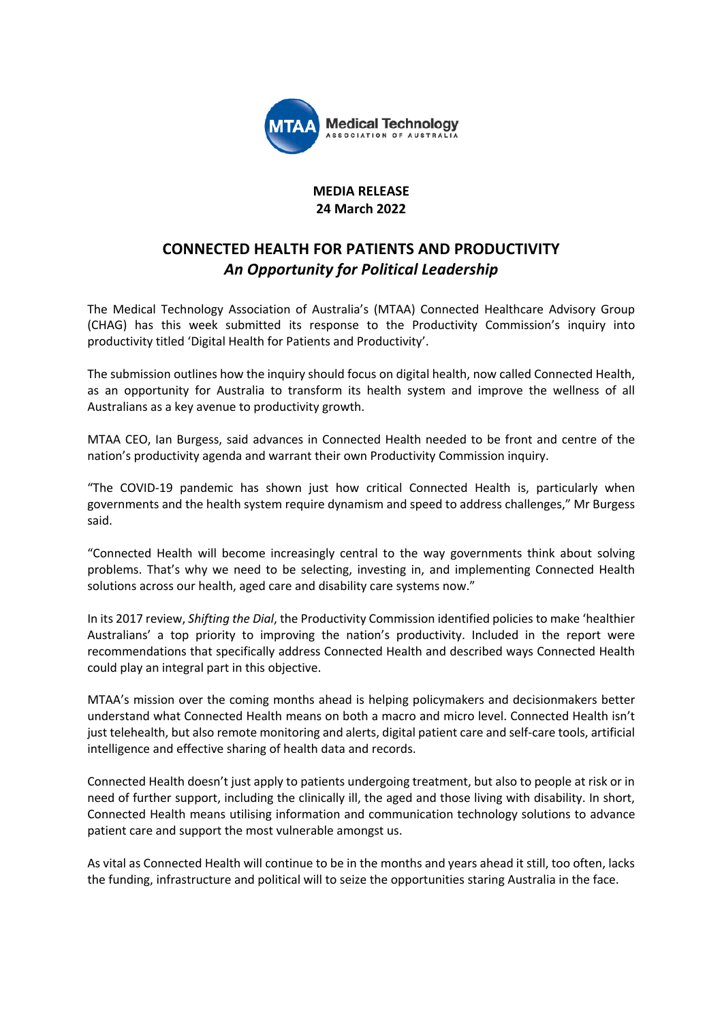

#### **MEDIA RELEASE 24 March 2022**

# **CONNECTED HEALTH FOR PATIENTS AND PRODUCTIVITY** *An Opportunity for Political Leadership*

The Medical Technology Association of Australia's (MTAA) Connected Healthcare Advisory Group (CHAG) has this week submitted its response to the Productivity Commission's inquiry into productivity titled 'Digital Health for Patients and Productivity'.

The submission outlines how the inquiry should focus on digital health, now called Connected Health, as an opportunity for Australia to transform its health system and improve the wellness of all Australians as a key avenue to productivity growth.

MTAA CEO, Ian Burgess, said advances in Connected Health needed to be front and centre of the nation's productivity agenda and warrant their own Productivity Commission inquiry.

"The COVID-19 pandemic has shown just how critical Connected Health is, particularly when governments and the health system require dynamism and speed to address challenges," Mr Burgess said.

"Connected Health will become increasingly central to the way governments think about solving problems. That's why we need to be selecting, investing in, and implementing Connected Health solutions across our health, aged care and disability care systems now."

In its 2017 review, *Shifting the Dial*, the Productivity Commission identified policies to make 'healthier Australians' a top priority to improving the nation's productivity. Included in the report were recommendations that specifically address Connected Health and described ways Connected Health could play an integral part in this objective.

MTAA's mission over the coming months ahead is helping policymakers and decisionmakers better understand what Connected Health means on both a macro and micro level. Connected Health isn't just telehealth, but also remote monitoring and alerts, digital patient care and self-care tools, artificial intelligence and effective sharing of health data and records.

Connected Health doesn't just apply to patients undergoing treatment, but also to people at risk or in need of further support, including the clinically ill, the aged and those living with disability. In short, Connected Health means utilising information and communication technology solutions to advance patient care and support the most vulnerable amongst us.

As vital as Connected Health will continue to be in the months and years ahead it still, too often, lacks the funding, infrastructure and political will to seize the opportunities staring Australia in the face.